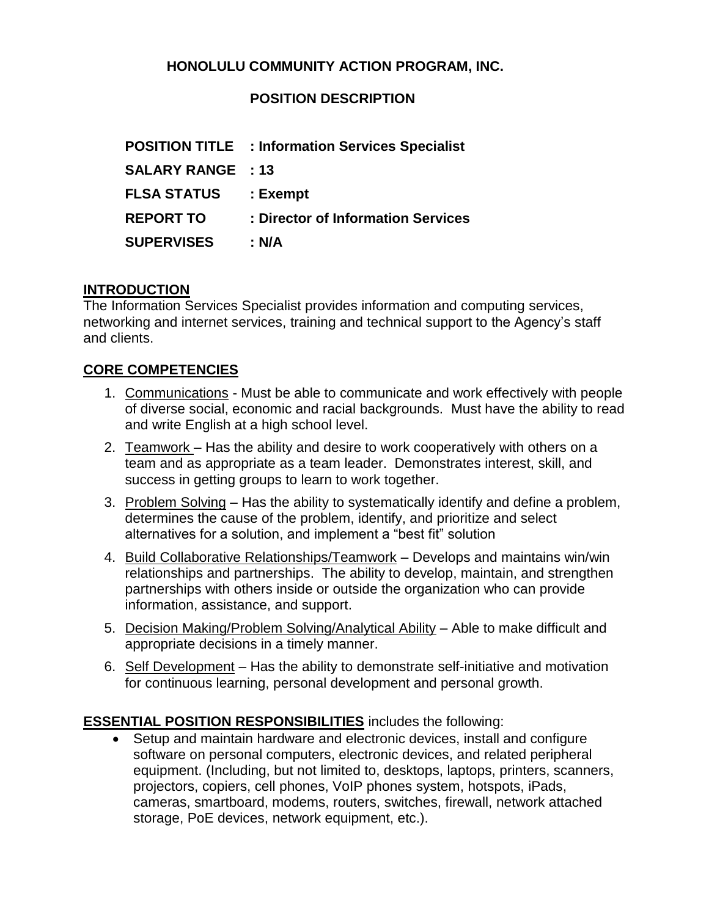## **HONOLULU COMMUNITY ACTION PROGRAM, INC.**

### **POSITION DESCRIPTION**

|                          | <b>POSITION TITLE : Information Services Specialist</b> |
|--------------------------|---------------------------------------------------------|
| <b>SALARY RANGE : 13</b> |                                                         |
| <b>FLSA STATUS</b>       | : Exempt                                                |
| <b>REPORT TO</b>         | : Director of Information Services                      |
| <b>SUPERVISES</b>        | : N/A                                                   |

#### **INTRODUCTION**

The Information Services Specialist provides information and computing services, networking and internet services, training and technical support to the Agency's staff and clients.

#### **CORE COMPETENCIES**

- 1. Communications Must be able to communicate and work effectively with people of diverse social, economic and racial backgrounds. Must have the ability to read and write English at a high school level.
- 2. Teamwork Has the ability and desire to work cooperatively with others on a team and as appropriate as a team leader. Demonstrates interest, skill, and success in getting groups to learn to work together.
- 3. Problem Solving Has the ability to systematically identify and define a problem, determines the cause of the problem, identify, and prioritize and select alternatives for a solution, and implement a "best fit" solution
- 4. Build Collaborative Relationships/Teamwork Develops and maintains win/win relationships and partnerships. The ability to develop, maintain, and strengthen partnerships with others inside or outside the organization who can provide information, assistance, and support.
- 5. Decision Making/Problem Solving/Analytical Ability Able to make difficult and appropriate decisions in a timely manner.
- 6. Self Development Has the ability to demonstrate self-initiative and motivation for continuous learning, personal development and personal growth.

#### **ESSENTIAL POSITION RESPONSIBILITIES** includes the following:

• Setup and maintain hardware and electronic devices, install and configure software on personal computers, electronic devices, and related peripheral equipment. (Including, but not limited to, desktops, laptops, printers, scanners, projectors, copiers, cell phones, VoIP phones system, hotspots, iPads, cameras, smartboard, modems, routers, switches, firewall, network attached storage, PoE devices, network equipment, etc.).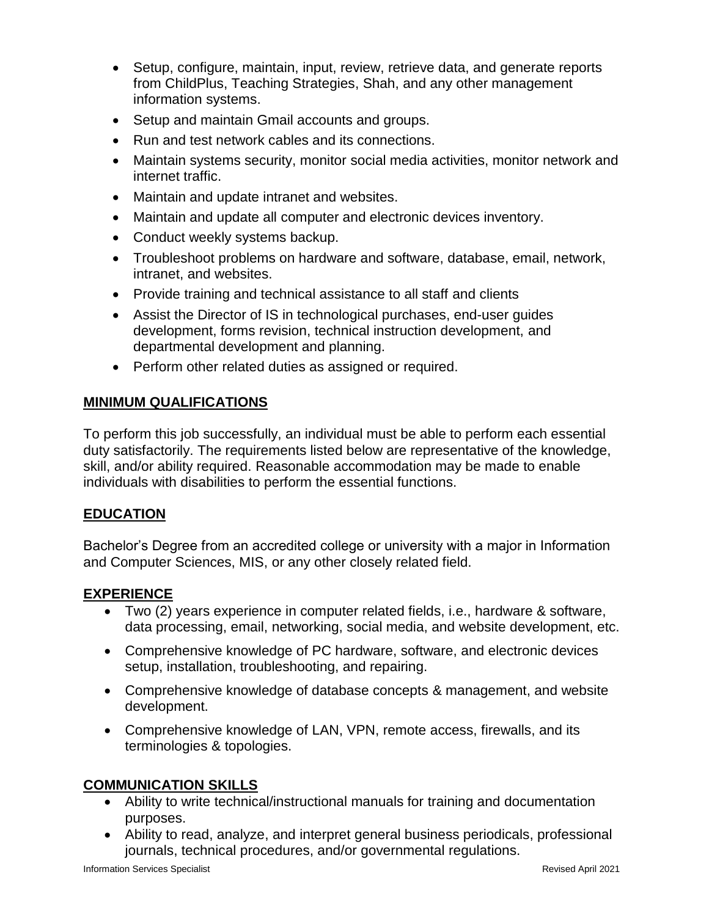- Setup, configure, maintain, input, review, retrieve data, and generate reports from ChildPlus, Teaching Strategies, Shah, and any other management information systems.
- Setup and maintain Gmail accounts and groups.
- Run and test network cables and its connections.
- Maintain systems security, monitor social media activities, monitor network and internet traffic.
- Maintain and update intranet and websites.
- Maintain and update all computer and electronic devices inventory.
- Conduct weekly systems backup.
- Troubleshoot problems on hardware and software, database, email, network, intranet, and websites.
- Provide training and technical assistance to all staff and clients
- Assist the Director of IS in technological purchases, end-user guides development, forms revision, technical instruction development, and departmental development and planning.
- Perform other related duties as assigned or required.

### **MINIMUM QUALIFICATIONS**

To perform this job successfully, an individual must be able to perform each essential duty satisfactorily. The requirements listed below are representative of the knowledge, skill, and/or ability required. Reasonable accommodation may be made to enable individuals with disabilities to perform the essential functions.

## **EDUCATION**

Bachelor's Degree from an accredited college or university with a major in Information and Computer Sciences, MIS, or any other closely related field.

## **EXPERIENCE**

- Two (2) years experience in computer related fields, i.e., hardware & software, data processing, email, networking, social media, and website development, etc.
- Comprehensive knowledge of PC hardware, software, and electronic devices setup, installation, troubleshooting, and repairing.
- Comprehensive knowledge of database concepts & management, and website development.
- Comprehensive knowledge of LAN, VPN, remote access, firewalls, and its terminologies & topologies.

#### **COMMUNICATION SKILLS**

- Ability to write technical/instructional manuals for training and documentation purposes.
- Ability to read, analyze, and interpret general business periodicals, professional journals, technical procedures, and/or governmental regulations.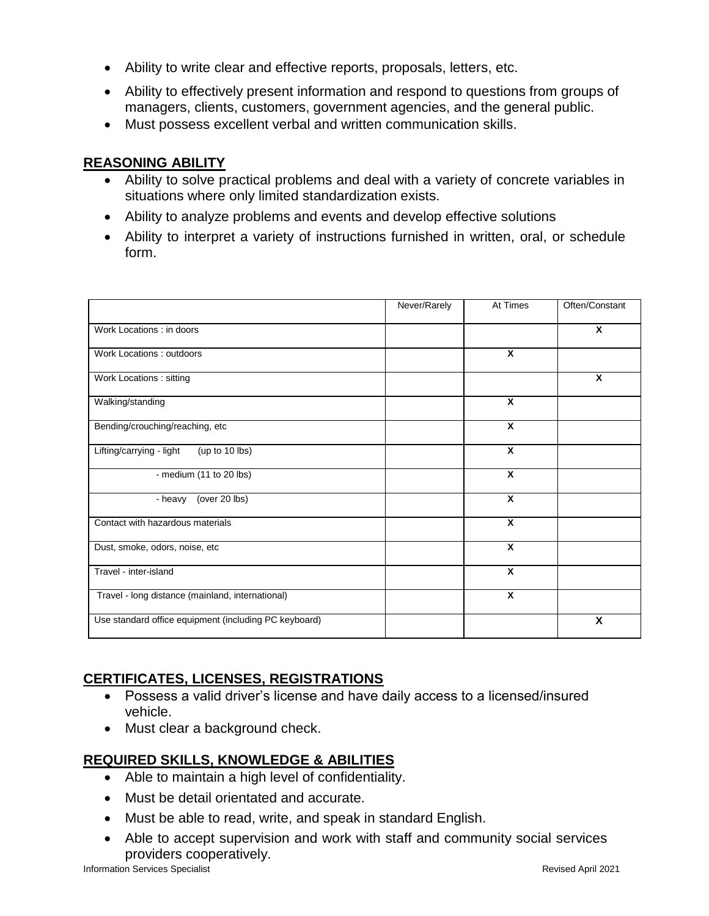- Ability to write clear and effective reports, proposals, letters, etc.
- Ability to effectively present information and respond to questions from groups of managers, clients, customers, government agencies, and the general public.
- Must possess excellent verbal and written communication skills.

## **REASONING ABILITY**

- Ability to solve practical problems and deal with a variety of concrete variables in situations where only limited standardization exists.
- Ability to analyze problems and events and develop effective solutions
- Ability to interpret a variety of instructions furnished in written, oral, or schedule form.

|                                                       | Never/Rarely | At Times                | Often/Constant |
|-------------------------------------------------------|--------------|-------------------------|----------------|
| Work Locations : in doors                             |              |                         | X              |
| Work Locations: outdoors                              |              | X                       |                |
| Work Locations: sitting                               |              |                         | X              |
| Walking/standing                                      |              | X                       |                |
| Bending/crouching/reaching, etc                       |              | X                       |                |
| Lifting/carrying - light<br>(up to 10 lbs)            |              | X                       |                |
| - medium (11 to 20 lbs)                               |              | $\overline{\mathbf{x}}$ |                |
| (over 20 lbs)<br>- heavy                              |              | X                       |                |
| Contact with hazardous materials                      |              | X                       |                |
| Dust, smoke, odors, noise, etc                        |              | X                       |                |
| Travel - inter-island                                 |              | X                       |                |
| Travel - long distance (mainland, international)      |              | X                       |                |
| Use standard office equipment (including PC keyboard) |              |                         | X              |

# **CERTIFICATES, LICENSES, REGISTRATIONS**

- Possess a valid driver's license and have daily access to a licensed/insured vehicle.
- Must clear a background check.

# **REQUIRED SKILLS, KNOWLEDGE & ABILITIES**

- Able to maintain a high level of confidentiality.
- Must be detail orientated and accurate.
- Must be able to read, write, and speak in standard English.
- Able to accept supervision and work with staff and community social services providers cooperatively.